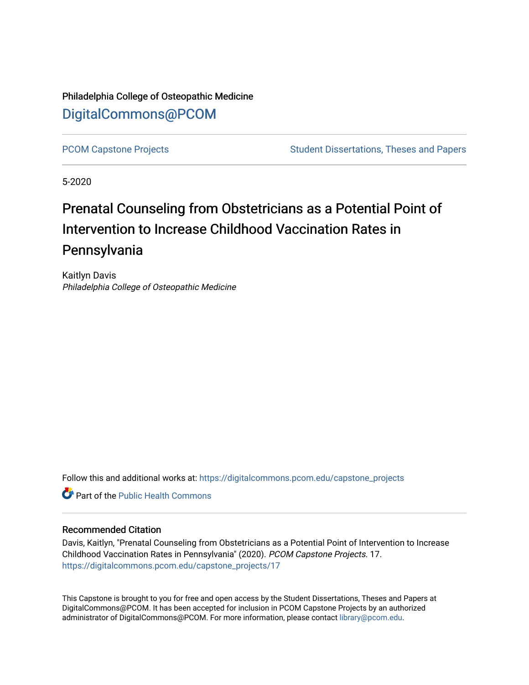Philadelphia College of Osteopathic Medicine [DigitalCommons@PCOM](https://digitalcommons.pcom.edu/) 

[PCOM Capstone Projects](https://digitalcommons.pcom.edu/capstone_projects) **Student Dissertations, Theses and Papers** Student Dissertations, Theses and Papers

5-2020

# Prenatal Counseling from Obstetricians as a Potential Point of Intervention to Increase Childhood Vaccination Rates in Pennsylvania

Kaitlyn Davis Philadelphia College of Osteopathic Medicine

Follow this and additional works at: [https://digitalcommons.pcom.edu/capstone\\_projects](https://digitalcommons.pcom.edu/capstone_projects?utm_source=digitalcommons.pcom.edu%2Fcapstone_projects%2F17&utm_medium=PDF&utm_campaign=PDFCoverPages)

**C** Part of the Public Health Commons

# Recommended Citation

Davis, Kaitlyn, "Prenatal Counseling from Obstetricians as a Potential Point of Intervention to Increase Childhood Vaccination Rates in Pennsylvania" (2020). PCOM Capstone Projects. 17. [https://digitalcommons.pcom.edu/capstone\\_projects/17](https://digitalcommons.pcom.edu/capstone_projects/17?utm_source=digitalcommons.pcom.edu%2Fcapstone_projects%2F17&utm_medium=PDF&utm_campaign=PDFCoverPages) 

This Capstone is brought to you for free and open access by the Student Dissertations, Theses and Papers at DigitalCommons@PCOM. It has been accepted for inclusion in PCOM Capstone Projects by an authorized administrator of DigitalCommons@PCOM. For more information, please contact [library@pcom.edu.](mailto:library@pcom.edu)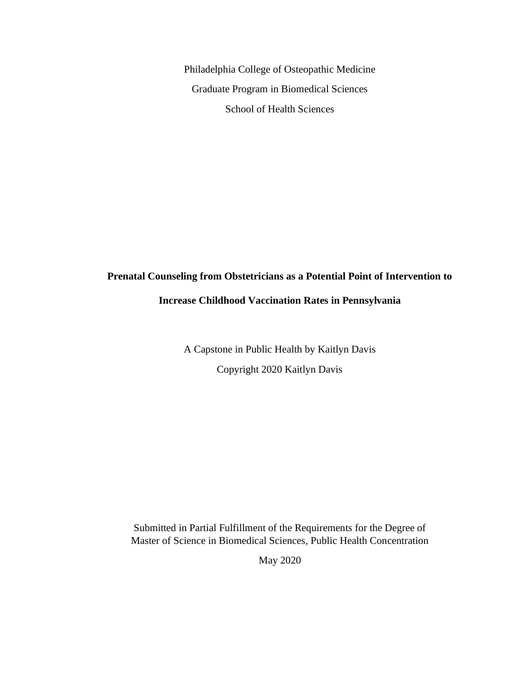Philadelphia College of Osteopathic Medicine Graduate Program in Biomedical Sciences School of Health Sciences

# **Prenatal Counseling from Obstetricians as a Potential Point of Intervention to**

# **Increase Childhood Vaccination Rates in Pennsylvania**

A Capstone in Public Health by Kaitlyn Davis Copyright 2020 Kaitlyn Davis

Submitted in Partial Fulfillment of the Requirements for the Degree of Master of Science in Biomedical Sciences, Public Health Concentration

May 2020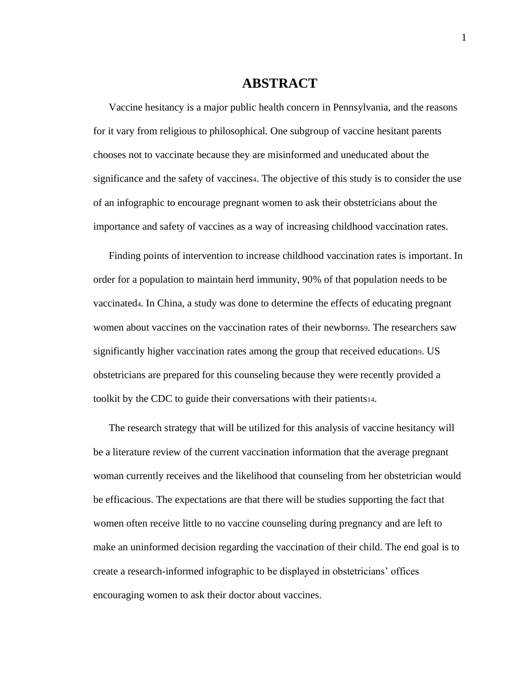# **ABSTRACT**

Vaccine hesitancy is a major public health concern in Pennsylvania, and the reasons for it vary from religious to philosophical. One subgroup of vaccine hesitant parents chooses not to vaccinate because they are misinformed and uneducated about the significance and the safety of vaccines4. The objective of this study is to consider the use of an infographic to encourage pregnant women to ask their obstetricians about the importance and safety of vaccines as a way of increasing childhood vaccination rates.

Finding points of intervention to increase childhood vaccination rates is important. In order for a population to maintain herd immunity, 90% of that population needs to be vaccinated4. In China, a study was done to determine the effects of educating pregnant women about vaccines on the vaccination rates of their newborns. The researchers saw significantly higher vaccination rates among the group that received education9. US obstetricians are prepared for this counseling because they were recently provided a toolkit by the CDC to guide their conversations with their patients14.

The research strategy that will be utilized for this analysis of vaccine hesitancy will be a literature review of the current vaccination information that the average pregnant woman currently receives and the likelihood that counseling from her obstetrician would be efficacious. The expectations are that there will be studies supporting the fact that women often receive little to no vaccine counseling during pregnancy and are left to make an uninformed decision regarding the vaccination of their child. The end goal is to create a research-informed infographic to be displayed in obstetricians' offices encouraging women to ask their doctor about vaccines.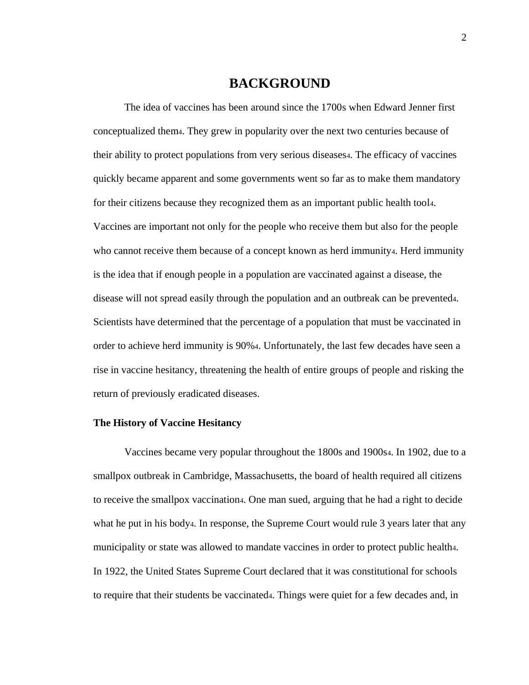# **BACKGROUND**

The idea of vaccines has been around since the 1700s when Edward Jenner first conceptualized them4. They grew in popularity over the next two centuries because of their ability to protect populations from very serious diseases4. The efficacy of vaccines quickly became apparent and some governments went so far as to make them mandatory for their citizens because they recognized them as an important public health tool4. Vaccines are important not only for the people who receive them but also for the people who cannot receive them because of a concept known as herd immunity4. Herd immunity is the idea that if enough people in a population are vaccinated against a disease, the disease will not spread easily through the population and an outbreak can be prevented4. Scientists have determined that the percentage of a population that must be vaccinated in order to achieve herd immunity is 90%4. Unfortunately, the last few decades have seen a rise in vaccine hesitancy, threatening the health of entire groups of people and risking the return of previously eradicated diseases.

#### **The History of Vaccine Hesitancy**

Vaccines became very popular throughout the 1800s and 1900s<sub>4</sub>. In 1902, due to a smallpox outbreak in Cambridge, Massachusetts, the board of health required all citizens to receive the smallpox vaccination4. One man sued, arguing that he had a right to decide what he put in his body<sub>4</sub>. In response, the Supreme Court would rule 3 years later that any municipality or state was allowed to mandate vaccines in order to protect public health4. In 1922, the United States Supreme Court declared that it was constitutional for schools to require that their students be vaccinated4. Things were quiet for a few decades and, in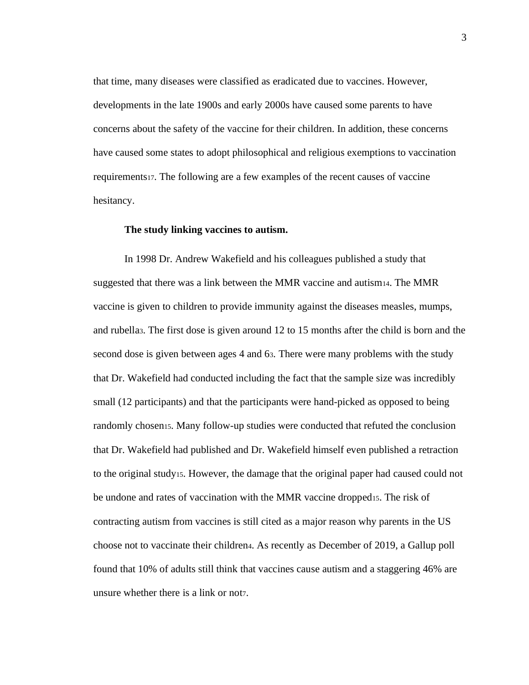that time, many diseases were classified as eradicated due to vaccines. However, developments in the late 1900s and early 2000s have caused some parents to have concerns about the safety of the vaccine for their children. In addition, these concerns have caused some states to adopt philosophical and religious exemptions to vaccination requirements17. The following are a few examples of the recent causes of vaccine hesitancy.

#### **The study linking vaccines to autism.**

In 1998 Dr. Andrew Wakefield and his colleagues published a study that suggested that there was a link between the MMR vaccine and autism14. The MMR vaccine is given to children to provide immunity against the diseases measles, mumps, and rubella3. The first dose is given around 12 to 15 months after the child is born and the second dose is given between ages 4 and 63. There were many problems with the study that Dr. Wakefield had conducted including the fact that the sample size was incredibly small (12 participants) and that the participants were hand-picked as opposed to being randomly chosen15. Many follow-up studies were conducted that refuted the conclusion that Dr. Wakefield had published and Dr. Wakefield himself even published a retraction to the original study15. However, the damage that the original paper had caused could not be undone and rates of vaccination with the MMR vaccine dropped<sub>15</sub>. The risk of contracting autism from vaccines is still cited as a major reason why parents in the US choose not to vaccinate their children4. As recently as December of 2019, a Gallup poll found that 10% of adults still think that vaccines cause autism and a staggering 46% are unsure whether there is a link or not.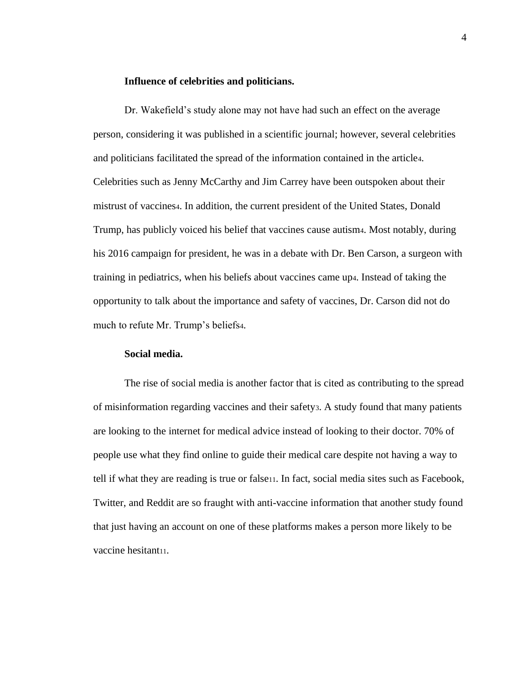### **Influence of celebrities and politicians.**

Dr. Wakefield's study alone may not have had such an effect on the average person, considering it was published in a scientific journal; however, several celebrities and politicians facilitated the spread of the information contained in the article4. Celebrities such as Jenny McCarthy and Jim Carrey have been outspoken about their mistrust of vaccines4. In addition, the current president of the United States, Donald Trump, has publicly voiced his belief that vaccines cause autism4. Most notably, during his 2016 campaign for president, he was in a debate with Dr. Ben Carson, a surgeon with training in pediatrics, when his beliefs about vaccines came up4. Instead of taking the opportunity to talk about the importance and safety of vaccines, Dr. Carson did not do much to refute Mr. Trump's beliefs4.

#### **Social media.**

The rise of social media is another factor that is cited as contributing to the spread of misinformation regarding vaccines and their safety3. A study found that many patients are looking to the internet for medical advice instead of looking to their doctor. 70% of people use what they find online to guide their medical care despite not having a way to tell if what they are reading is true or false11. In fact, social media sites such as Facebook, Twitter, and Reddit are so fraught with anti-vaccine information that another study found that just having an account on one of these platforms makes a person more likely to be vaccine hesitant<sub>11</sub>.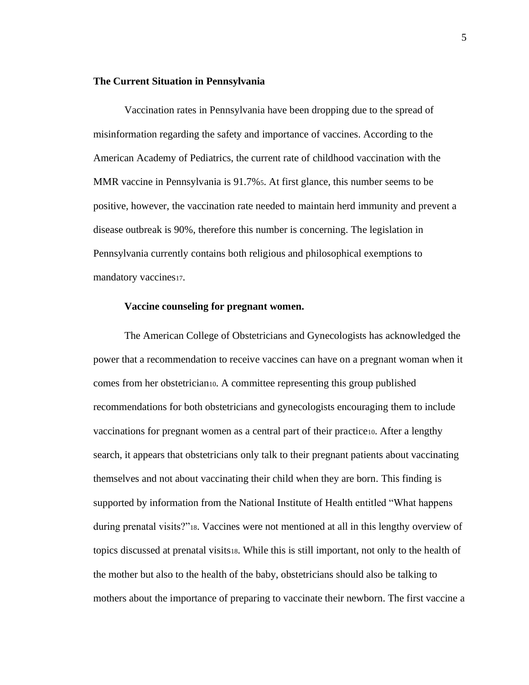# **The Current Situation in Pennsylvania**

Vaccination rates in Pennsylvania have been dropping due to the spread of misinformation regarding the safety and importance of vaccines. According to the American Academy of Pediatrics, the current rate of childhood vaccination with the MMR vaccine in Pennsylvania is 91.7%5. At first glance, this number seems to be positive, however, the vaccination rate needed to maintain herd immunity and prevent a disease outbreak is 90%, therefore this number is concerning. The legislation in Pennsylvania currently contains both religious and philosophical exemptions to mandatory vaccines17.

# **Vaccine counseling for pregnant women.**

The American College of Obstetricians and Gynecologists has acknowledged the power that a recommendation to receive vaccines can have on a pregnant woman when it comes from her obstetrician10. A committee representing this group published recommendations for both obstetricians and gynecologists encouraging them to include vaccinations for pregnant women as a central part of their practice10. After a lengthy search, it appears that obstetricians only talk to their pregnant patients about vaccinating themselves and not about vaccinating their child when they are born. This finding is supported by information from the National Institute of Health entitled "What happens during prenatal visits?"18. Vaccines were not mentioned at all in this lengthy overview of topics discussed at prenatal visits18. While this is still important, not only to the health of the mother but also to the health of the baby, obstetricians should also be talking to mothers about the importance of preparing to vaccinate their newborn. The first vaccine a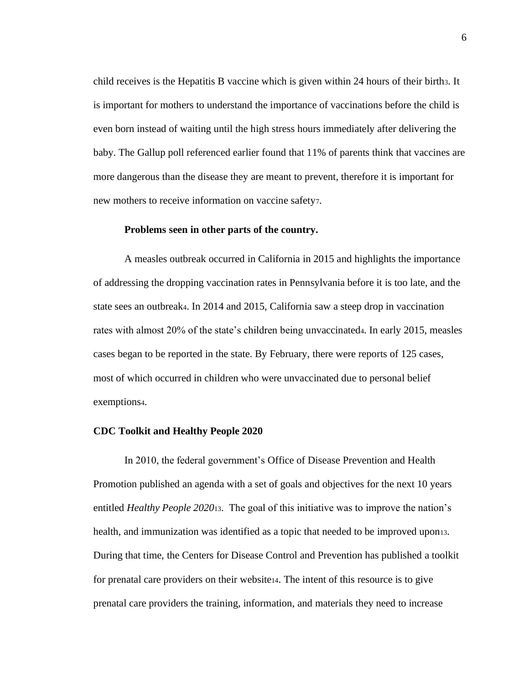child receives is the Hepatitis B vaccine which is given within 24 hours of their birth3. It is important for mothers to understand the importance of vaccinations before the child is even born instead of waiting until the high stress hours immediately after delivering the baby. The Gallup poll referenced earlier found that 11% of parents think that vaccines are more dangerous than the disease they are meant to prevent, therefore it is important for new mothers to receive information on vaccine safety7.

#### **Problems seen in other parts of the country.**

A measles outbreak occurred in California in 2015 and highlights the importance of addressing the dropping vaccination rates in Pennsylvania before it is too late, and the state sees an outbreak4. In 2014 and 2015, California saw a steep drop in vaccination rates with almost 20% of the state's children being unvaccinated4. In early 2015, measles cases began to be reported in the state. By February, there were reports of 125 cases, most of which occurred in children who were unvaccinated due to personal belief exemptions4.

#### **CDC Toolkit and Healthy People 2020**

In 2010, the federal government's Office of Disease Prevention and Health Promotion published an agenda with a set of goals and objectives for the next 10 years entitled *Healthy People 2020*13. The goal of this initiative was to improve the nation's health, and immunization was identified as a topic that needed to be improved upon13. During that time, the Centers for Disease Control and Prevention has published a toolkit for prenatal care providers on their website14. The intent of this resource is to give prenatal care providers the training, information, and materials they need to increase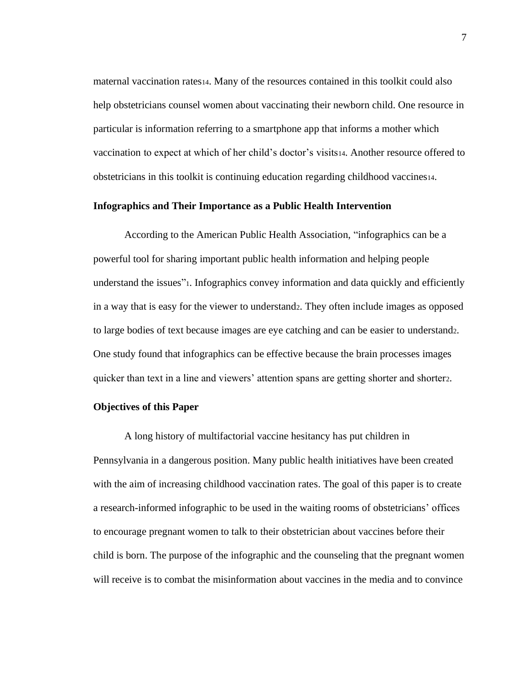maternal vaccination rates14. Many of the resources contained in this toolkit could also help obstetricians counsel women about vaccinating their newborn child. One resource in particular is information referring to a smartphone app that informs a mother which vaccination to expect at which of her child's doctor's visits14. Another resource offered to obstetricians in this toolkit is continuing education regarding childhood vaccines14.

# **Infographics and Their Importance as a Public Health Intervention**

According to the American Public Health Association, "infographics can be a powerful tool for sharing important public health information and helping people understand the issues"1. Infographics convey information and data quickly and efficiently in a way that is easy for the viewer to understand2. They often include images as opposed to large bodies of text because images are eye catching and can be easier to understand2. One study found that infographics can be effective because the brain processes images quicker than text in a line and viewers' attention spans are getting shorter and shorter2.

### **Objectives of this Paper**

A long history of multifactorial vaccine hesitancy has put children in Pennsylvania in a dangerous position. Many public health initiatives have been created with the aim of increasing childhood vaccination rates. The goal of this paper is to create a research-informed infographic to be used in the waiting rooms of obstetricians' offices to encourage pregnant women to talk to their obstetrician about vaccines before their child is born. The purpose of the infographic and the counseling that the pregnant women will receive is to combat the misinformation about vaccines in the media and to convince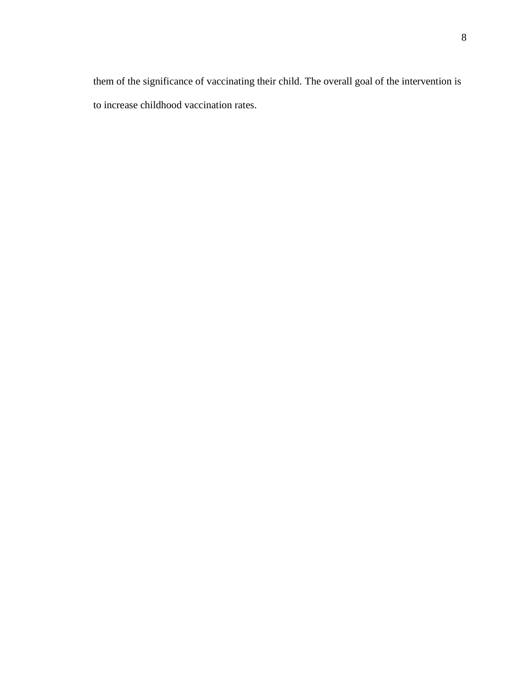them of the significance of vaccinating their child. The overall goal of the intervention is to increase childhood vaccination rates.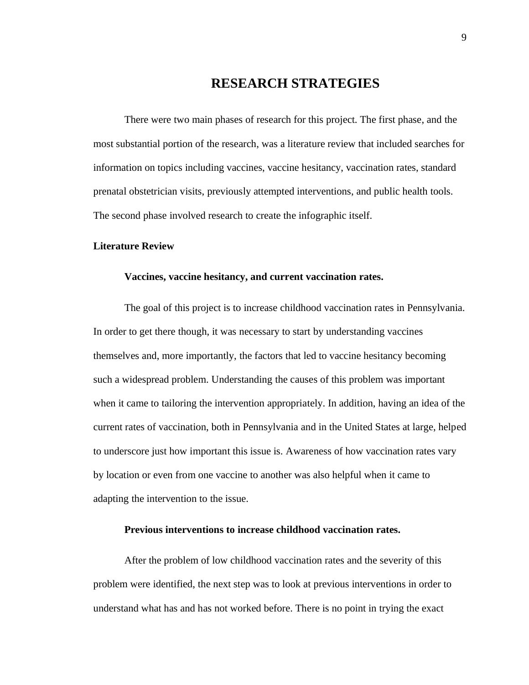# **RESEARCH STRATEGIES**

There were two main phases of research for this project. The first phase, and the most substantial portion of the research, was a literature review that included searches for information on topics including vaccines, vaccine hesitancy, vaccination rates, standard prenatal obstetrician visits, previously attempted interventions, and public health tools. The second phase involved research to create the infographic itself.

### **Literature Review**

### **Vaccines, vaccine hesitancy, and current vaccination rates.**

The goal of this project is to increase childhood vaccination rates in Pennsylvania. In order to get there though, it was necessary to start by understanding vaccines themselves and, more importantly, the factors that led to vaccine hesitancy becoming such a widespread problem. Understanding the causes of this problem was important when it came to tailoring the intervention appropriately. In addition, having an idea of the current rates of vaccination, both in Pennsylvania and in the United States at large, helped to underscore just how important this issue is. Awareness of how vaccination rates vary by location or even from one vaccine to another was also helpful when it came to adapting the intervention to the issue.

# **Previous interventions to increase childhood vaccination rates.**

After the problem of low childhood vaccination rates and the severity of this problem were identified, the next step was to look at previous interventions in order to understand what has and has not worked before. There is no point in trying the exact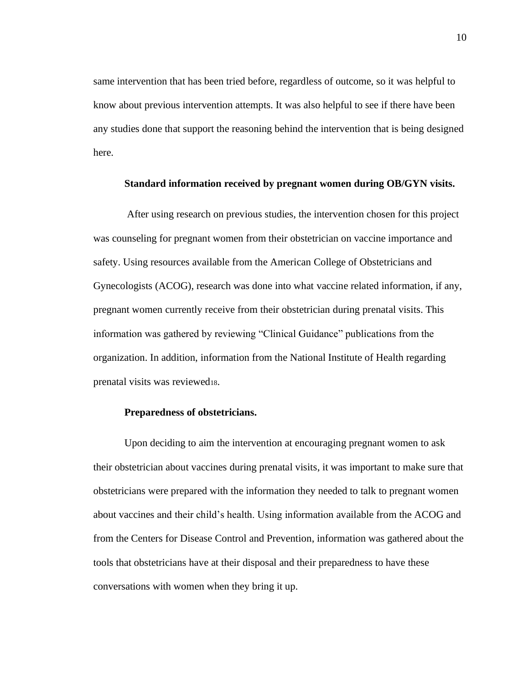same intervention that has been tried before, regardless of outcome, so it was helpful to know about previous intervention attempts. It was also helpful to see if there have been any studies done that support the reasoning behind the intervention that is being designed here.

### **Standard information received by pregnant women during OB/GYN visits.**

After using research on previous studies, the intervention chosen for this project was counseling for pregnant women from their obstetrician on vaccine importance and safety. Using resources available from the American College of Obstetricians and Gynecologists (ACOG), research was done into what vaccine related information, if any, pregnant women currently receive from their obstetrician during prenatal visits. This information was gathered by reviewing "Clinical Guidance" publications from the organization. In addition, information from the National Institute of Health regarding prenatal visits was reviewed18.

#### **Preparedness of obstetricians.**

Upon deciding to aim the intervention at encouraging pregnant women to ask their obstetrician about vaccines during prenatal visits, it was important to make sure that obstetricians were prepared with the information they needed to talk to pregnant women about vaccines and their child's health. Using information available from the ACOG and from the Centers for Disease Control and Prevention, information was gathered about the tools that obstetricians have at their disposal and their preparedness to have these conversations with women when they bring it up.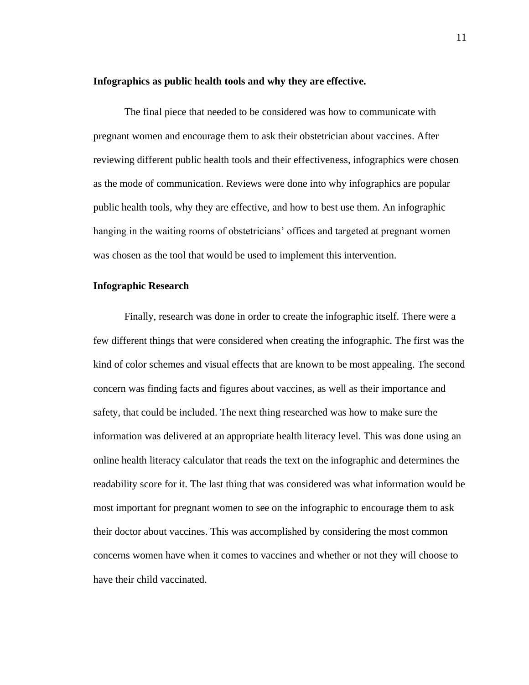#### **Infographics as public health tools and why they are effective.**

The final piece that needed to be considered was how to communicate with pregnant women and encourage them to ask their obstetrician about vaccines. After reviewing different public health tools and their effectiveness, infographics were chosen as the mode of communication. Reviews were done into why infographics are popular public health tools, why they are effective, and how to best use them. An infographic hanging in the waiting rooms of obstetricians' offices and targeted at pregnant women was chosen as the tool that would be used to implement this intervention.

# **Infographic Research**

Finally, research was done in order to create the infographic itself. There were a few different things that were considered when creating the infographic. The first was the kind of color schemes and visual effects that are known to be most appealing. The second concern was finding facts and figures about vaccines, as well as their importance and safety, that could be included. The next thing researched was how to make sure the information was delivered at an appropriate health literacy level. This was done using an online health literacy calculator that reads the text on the infographic and determines the readability score for it. The last thing that was considered was what information would be most important for pregnant women to see on the infographic to encourage them to ask their doctor about vaccines. This was accomplished by considering the most common concerns women have when it comes to vaccines and whether or not they will choose to have their child vaccinated.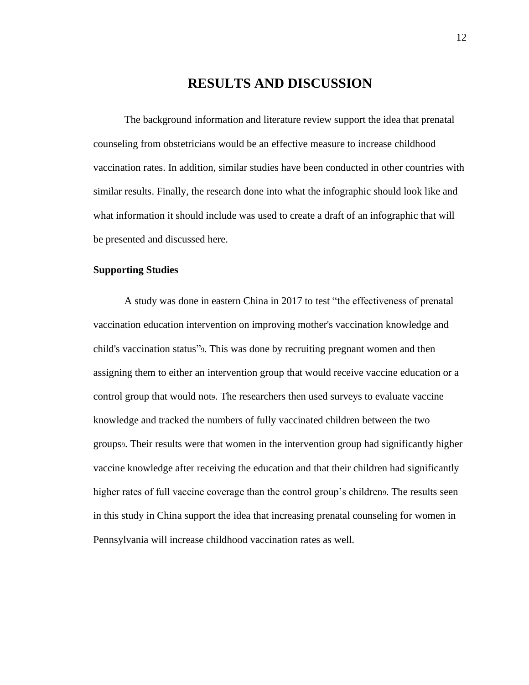# **RESULTS AND DISCUSSION**

The background information and literature review support the idea that prenatal counseling from obstetricians would be an effective measure to increase childhood vaccination rates. In addition, similar studies have been conducted in other countries with similar results. Finally, the research done into what the infographic should look like and what information it should include was used to create a draft of an infographic that will be presented and discussed here.

# **Supporting Studies**

A study was done in eastern China in 2017 to test "the effectiveness of prenatal vaccination education intervention on improving mother's vaccination knowledge and child's vaccination status"9. This was done by recruiting pregnant women and then assigning them to either an intervention group that would receive vaccine education or a control group that would nots. The researchers then used surveys to evaluate vaccine knowledge and tracked the numbers of fully vaccinated children between the two groups9. Their results were that women in the intervention group had significantly higher vaccine knowledge after receiving the education and that their children had significantly higher rates of full vaccine coverage than the control group's children<sub>9</sub>. The results seen in this study in China support the idea that increasing prenatal counseling for women in Pennsylvania will increase childhood vaccination rates as well.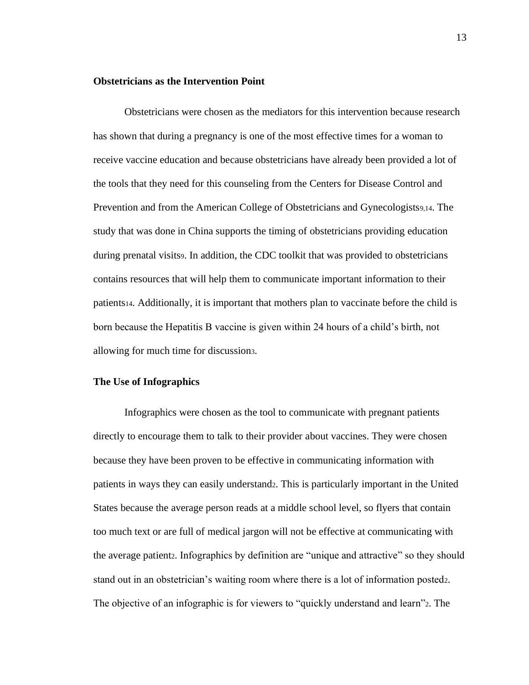# **Obstetricians as the Intervention Point**

Obstetricians were chosen as the mediators for this intervention because research has shown that during a pregnancy is one of the most effective times for a woman to receive vaccine education and because obstetricians have already been provided a lot of the tools that they need for this counseling from the Centers for Disease Control and Prevention and from the American College of Obstetricians and Gynecologists9,14. The study that was done in China supports the timing of obstetricians providing education during prenatal visits. In addition, the CDC toolkit that was provided to obstetricians contains resources that will help them to communicate important information to their patients14. Additionally, it is important that mothers plan to vaccinate before the child is born because the Hepatitis B vaccine is given within 24 hours of a child's birth, not allowing for much time for discussion3.

#### **The Use of Infographics**

Infographics were chosen as the tool to communicate with pregnant patients directly to encourage them to talk to their provider about vaccines. They were chosen because they have been proven to be effective in communicating information with patients in ways they can easily understand2. This is particularly important in the United States because the average person reads at a middle school level, so flyers that contain too much text or are full of medical jargon will not be effective at communicating with the average patient2. Infographics by definition are "unique and attractive" so they should stand out in an obstetrician's waiting room where there is a lot of information posted2. The objective of an infographic is for viewers to "quickly understand and learn"2. The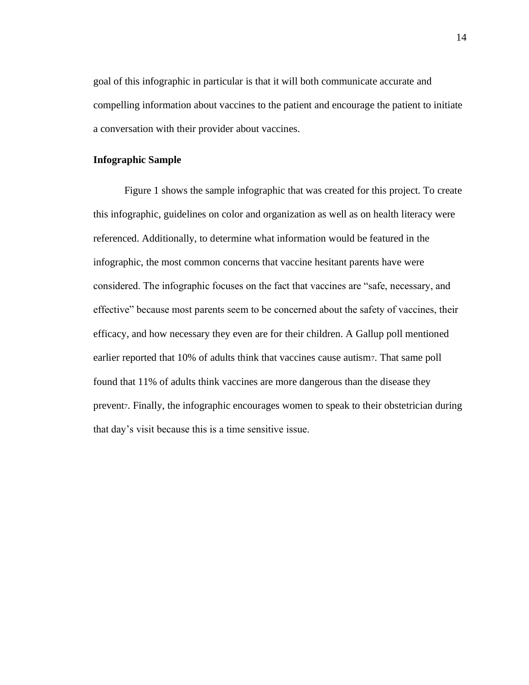goal of this infographic in particular is that it will both communicate accurate and compelling information about vaccines to the patient and encourage the patient to initiate a conversation with their provider about vaccines.

# **Infographic Sample**

Figure 1 shows the sample infographic that was created for this project. To create this infographic, guidelines on color and organization as well as on health literacy were referenced. Additionally, to determine what information would be featured in the infographic, the most common concerns that vaccine hesitant parents have were considered. The infographic focuses on the fact that vaccines are "safe, necessary, and effective" because most parents seem to be concerned about the safety of vaccines, their efficacy, and how necessary they even are for their children. A Gallup poll mentioned earlier reported that 10% of adults think that vaccines cause autism7. That same poll found that 11% of adults think vaccines are more dangerous than the disease they preventz. Finally, the infographic encourages women to speak to their obstetrician during that day's visit because this is a time sensitive issue.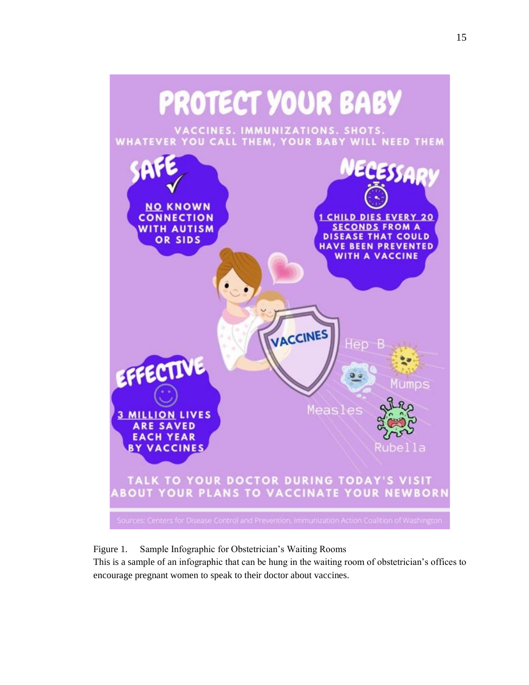

Figure 1. Sample Infographic for Obstetrician's Waiting Rooms

This is a sample of an infographic that can be hung in the waiting room of obstetrician's offices to encourage pregnant women to speak to their doctor about vaccines.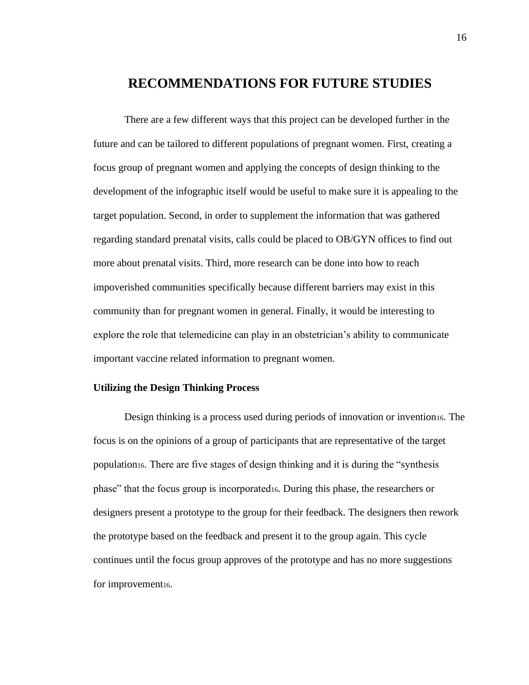# **RECOMMENDATIONS FOR FUTURE STUDIES**

There are a few different ways that this project can be developed further in the future and can be tailored to different populations of pregnant women. First, creating a focus group of pregnant women and applying the concepts of design thinking to the development of the infographic itself would be useful to make sure it is appealing to the target population. Second, in order to supplement the information that was gathered regarding standard prenatal visits, calls could be placed to OB/GYN offices to find out more about prenatal visits. Third, more research can be done into how to reach impoverished communities specifically because different barriers may exist in this community than for pregnant women in general. Finally, it would be interesting to explore the role that telemedicine can play in an obstetrician's ability to communicate important vaccine related information to pregnant women.

# **Utilizing the Design Thinking Process**

Design thinking is a process used during periods of innovation or invention16. The focus is on the opinions of a group of participants that are representative of the target population16. There are five stages of design thinking and it is during the "synthesis phase" that the focus group is incorporated16. During this phase, the researchers or designers present a prototype to the group for their feedback. The designers then rework the prototype based on the feedback and present it to the group again. This cycle continues until the focus group approves of the prototype and has no more suggestions for improvement<sub>16</sub>.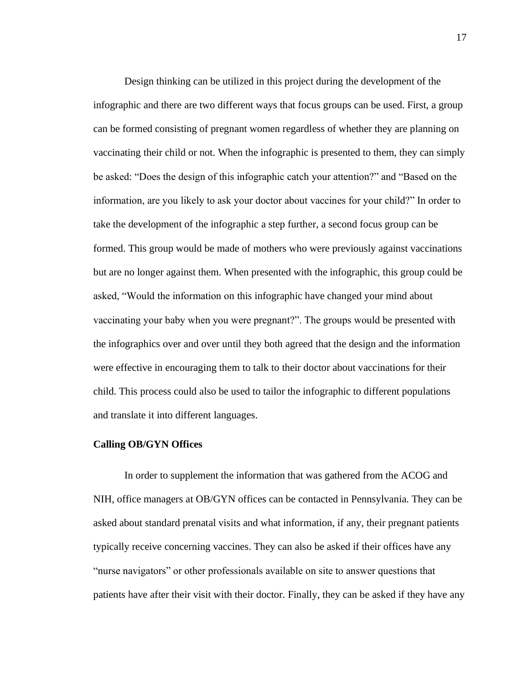Design thinking can be utilized in this project during the development of the infographic and there are two different ways that focus groups can be used. First, a group can be formed consisting of pregnant women regardless of whether they are planning on vaccinating their child or not. When the infographic is presented to them, they can simply be asked: "Does the design of this infographic catch your attention?" and "Based on the information, are you likely to ask your doctor about vaccines for your child?" In order to take the development of the infographic a step further, a second focus group can be formed. This group would be made of mothers who were previously against vaccinations but are no longer against them. When presented with the infographic, this group could be asked, "Would the information on this infographic have changed your mind about vaccinating your baby when you were pregnant?". The groups would be presented with the infographics over and over until they both agreed that the design and the information were effective in encouraging them to talk to their doctor about vaccinations for their child. This process could also be used to tailor the infographic to different populations and translate it into different languages.

#### **Calling OB/GYN Offices**

In order to supplement the information that was gathered from the ACOG and NIH, office managers at OB/GYN offices can be contacted in Pennsylvania. They can be asked about standard prenatal visits and what information, if any, their pregnant patients typically receive concerning vaccines. They can also be asked if their offices have any "nurse navigators" or other professionals available on site to answer questions that patients have after their visit with their doctor. Finally, they can be asked if they have any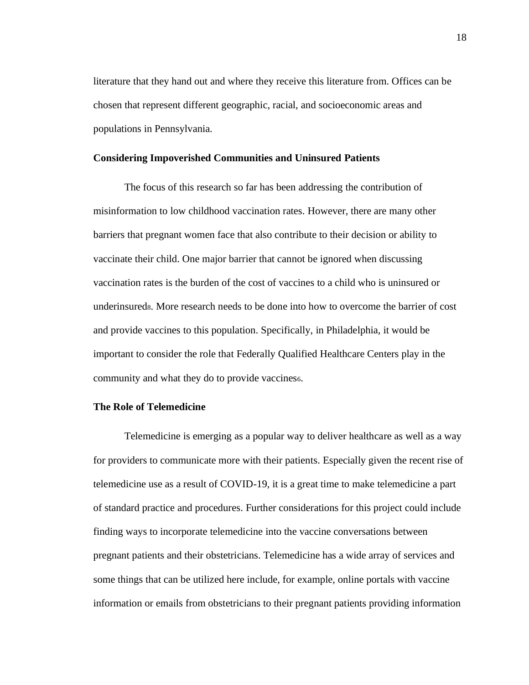literature that they hand out and where they receive this literature from. Offices can be chosen that represent different geographic, racial, and socioeconomic areas and populations in Pennsylvania.

### **Considering Impoverished Communities and Uninsured Patients**

The focus of this research so far has been addressing the contribution of misinformation to low childhood vaccination rates. However, there are many other barriers that pregnant women face that also contribute to their decision or ability to vaccinate their child. One major barrier that cannot be ignored when discussing vaccination rates is the burden of the cost of vaccines to a child who is uninsured or underinsured8. More research needs to be done into how to overcome the barrier of cost and provide vaccines to this population. Specifically, in Philadelphia, it would be important to consider the role that Federally Qualified Healthcare Centers play in the community and what they do to provide vaccines6.

# **The Role of Telemedicine**

Telemedicine is emerging as a popular way to deliver healthcare as well as a way for providers to communicate more with their patients. Especially given the recent rise of telemedicine use as a result of COVID-19, it is a great time to make telemedicine a part of standard practice and procedures. Further considerations for this project could include finding ways to incorporate telemedicine into the vaccine conversations between pregnant patients and their obstetricians. Telemedicine has a wide array of services and some things that can be utilized here include, for example, online portals with vaccine information or emails from obstetricians to their pregnant patients providing information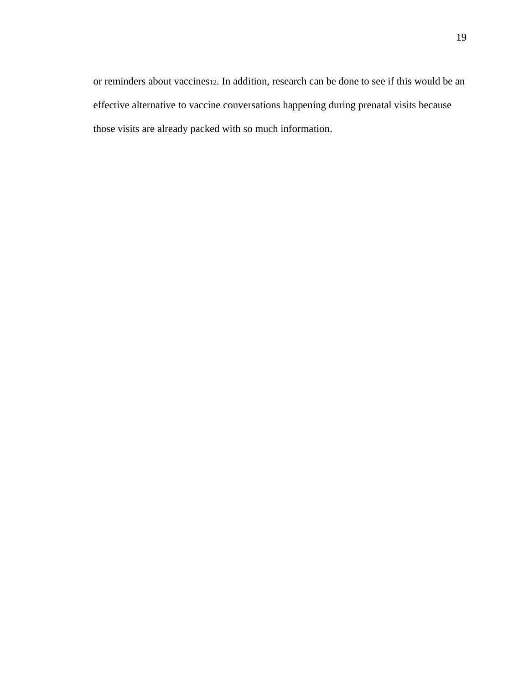or reminders about vaccines12. In addition, research can be done to see if this would be an effective alternative to vaccine conversations happening during prenatal visits because those visits are already packed with so much information.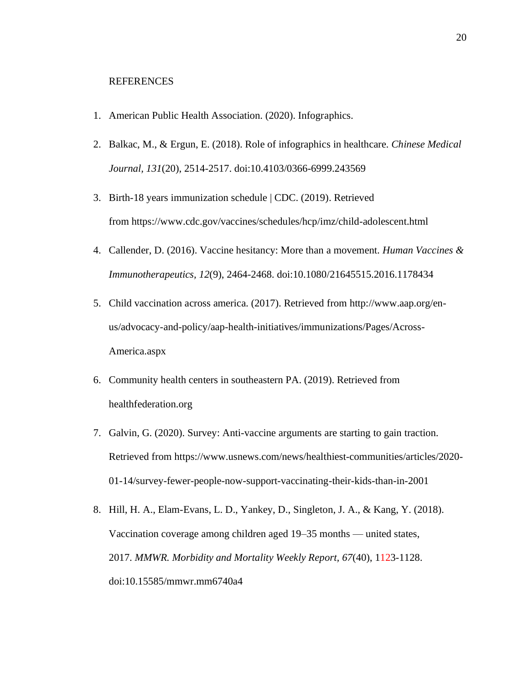#### **REFERENCES**

- 1. American Public Health Association. (2020). Infographics.
- 2. Balkac, M., & Ergun, E. (2018). Role of infographics in healthcare. *Chinese Medical Journal, 131*(20), 2514-2517. doi:10.4103/0366-6999.243569
- 3. Birth-18 years immunization schedule | CDC. (2019). Retrieved from https://www.cdc.gov/vaccines/schedules/hcp/imz/child-adolescent.html
- 4. Callender, D. (2016). Vaccine hesitancy: More than a movement. *Human Vaccines & Immunotherapeutics, 12*(9), 2464-2468. doi:10.1080/21645515.2016.1178434
- 5. Child vaccination across america. (2017). Retrieved from http://www.aap.org/enus/advocacy-and-policy/aap-health-initiatives/immunizations/Pages/Across-America.aspx
- 6. Community health centers in southeastern PA. (2019). Retrieved from healthfederation.org
- 7. Galvin, G. (2020). Survey: Anti-vaccine arguments are starting to gain traction. Retrieved from https://www.usnews.com/news/healthiest-communities/articles/2020- 01-14/survey-fewer-people-now-support-vaccinating-their-kids-than-in-2001
- 8. Hill, H. A., Elam-Evans, L. D., Yankey, D., Singleton, J. A., & Kang, Y. (2018). Vaccination coverage among children aged 19–35 months — united states, 2017. *MMWR. Morbidity and Mortality Weekly Report, 67*(40), 1123-1128. doi:10.15585/mmwr.mm6740a4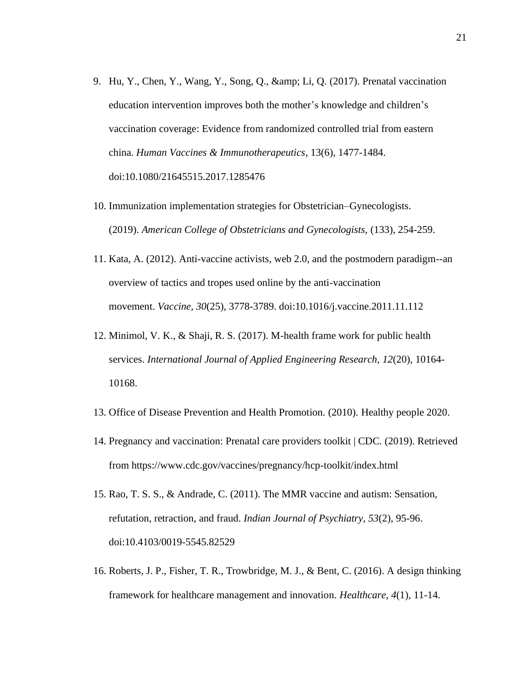- 9. Hu, Y., Chen, Y., Wang, Y., Song, Q., & amp; Li, Q. (2017). Prenatal vaccination education intervention improves both the mother's knowledge and children's vaccination coverage: Evidence from randomized controlled trial from eastern china. *Human Vaccines & Immunotherapeutics*, 13(6), 1477-1484. doi:10.1080/21645515.2017.1285476
- 10. Immunization implementation strategies for Obstetrician–Gynecologists. (2019). *American College of Obstetricians and Gynecologists,* (133), 254-259.
- 11. Kata, A. (2012). Anti-vaccine activists, web 2.0, and the postmodern paradigm--an overview of tactics and tropes used online by the anti-vaccination movement. *Vaccine, 30*(25), 3778-3789. doi:10.1016/j.vaccine.2011.11.112
- 12. Minimol, V. K., & Shaji, R. S. (2017). M-health frame work for public health services. *International Journal of Applied Engineering Research, 12*(20), 10164- 10168.
- 13. Office of Disease Prevention and Health Promotion. (2010). Healthy people 2020.
- 14. Pregnancy and vaccination: Prenatal care providers toolkit | CDC. (2019). Retrieved from https://www.cdc.gov/vaccines/pregnancy/hcp-toolkit/index.html
- 15. Rao, T. S. S., & Andrade, C. (2011). The MMR vaccine and autism: Sensation, refutation, retraction, and fraud. *Indian Journal of Psychiatry, 53*(2), 95-96. doi:10.4103/0019-5545.82529
- 16. Roberts, J. P., Fisher, T. R., Trowbridge, M. J., & Bent, C. (2016). A design thinking framework for healthcare management and innovation. *Healthcare, 4*(1), 11-14.